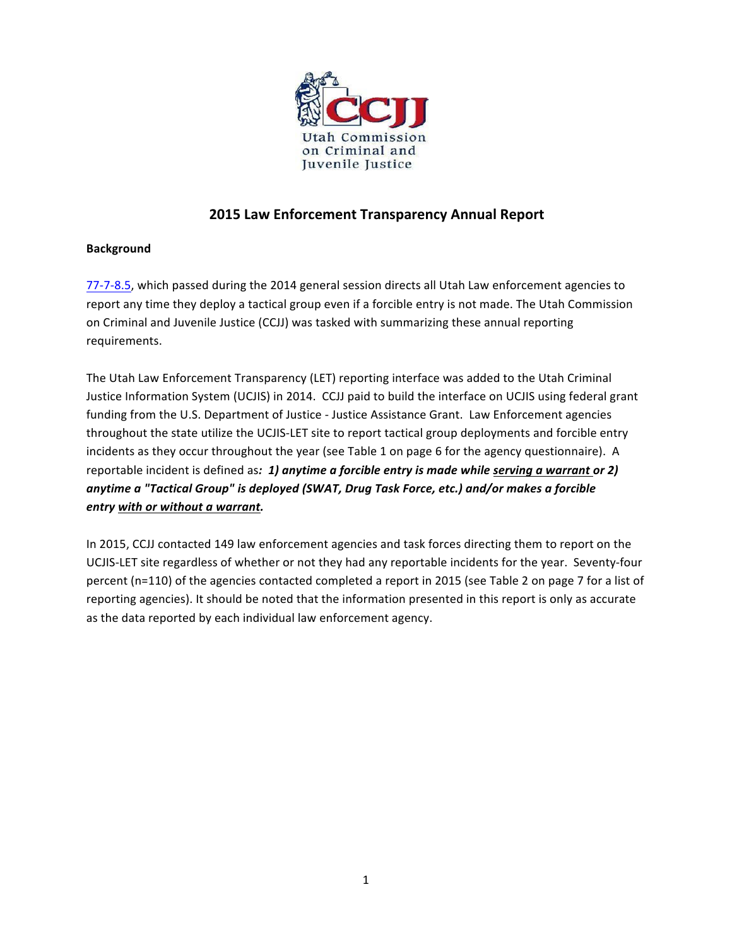

## **2015 Law Enforcement Transparency Annual Report**

### **Background**

77-7-8.5, which passed during the 2014 general session directs all Utah Law enforcement agencies to report any time they deploy a tactical group even if a forcible entry is not made. The Utah Commission on Criminal and Juvenile Justice (CCJJ) was tasked with summarizing these annual reporting requirements.

The Utah Law Enforcement Transparency (LET) reporting interface was added to the Utah Criminal Justice Information System (UCJIS) in 2014. CCJJ paid to build the interface on UCJIS using federal grant funding from the U.S. Department of Justice - Justice Assistance Grant. Law Enforcement agencies throughout the state utilize the UCJIS-LET site to report tactical group deployments and forcible entry incidents as they occur throughout the year (see Table 1 on page 6 for the agency questionnaire). A reportable incident is defined as: 1) anytime a forcible entry is made while serving a warrant or 2) anytime a "Tactical Group" is deployed (SWAT, Drug Task Force, etc.) and/or makes a forcible *entry* with or without a warrant.

In 2015, CCJJ contacted 149 law enforcement agencies and task forces directing them to report on the UCJIS-LET site regardless of whether or not they had any reportable incidents for the year. Seventy-four percent (n=110) of the agencies contacted completed a report in 2015 (see Table 2 on page 7 for a list of reporting agencies). It should be noted that the information presented in this report is only as accurate as the data reported by each individual law enforcement agency.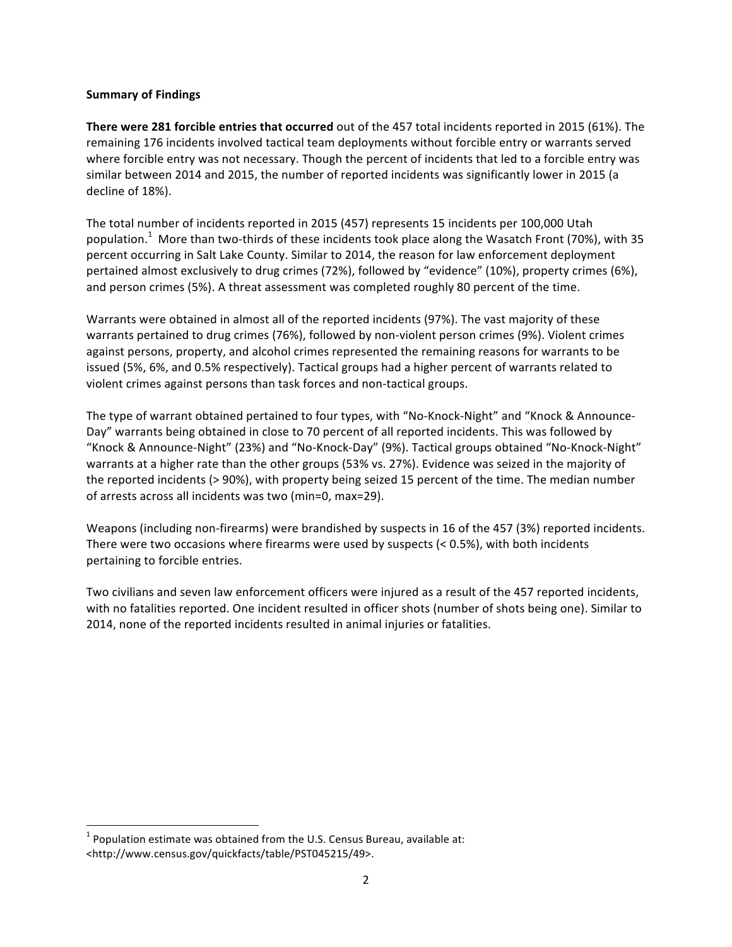#### **Summary of Findings**

**There were 281 forcible entries that occurred** out of the 457 total incidents reported in 2015 (61%). The remaining 176 incidents involved tactical team deployments without forcible entry or warrants served where forcible entry was not necessary. Though the percent of incidents that led to a forcible entry was similar between 2014 and 2015, the number of reported incidents was significantly lower in 2015 (a decline of 18%).

The total number of incidents reported in 2015 (457) represents 15 incidents per 100,000 Utah population.<sup>1</sup> More than two-thirds of these incidents took place along the Wasatch Front (70%), with 35 percent occurring in Salt Lake County. Similar to 2014, the reason for law enforcement deployment pertained almost exclusively to drug crimes (72%), followed by "evidence" (10%), property crimes (6%), and person crimes (5%). A threat assessment was completed roughly 80 percent of the time.

Warrants were obtained in almost all of the reported incidents (97%). The vast majority of these warrants pertained to drug crimes (76%), followed by non-violent person crimes (9%). Violent crimes against persons, property, and alcohol crimes represented the remaining reasons for warrants to be issued (5%, 6%, and 0.5% respectively). Tactical groups had a higher percent of warrants related to violent crimes against persons than task forces and non-tactical groups.

The type of warrant obtained pertained to four types, with "No-Knock-Night" and "Knock & Announce-Day" warrants being obtained in close to 70 percent of all reported incidents. This was followed by "Knock & Announce-Night" (23%) and "No-Knock-Day" (9%). Tactical groups obtained "No-Knock-Night" warrants at a higher rate than the other groups (53% vs. 27%). Evidence was seized in the majority of the reported incidents (> 90%), with property being seized 15 percent of the time. The median number of arrests across all incidents was two (min=0, max=29).

Weapons (including non-firearms) were brandished by suspects in 16 of the 457 (3%) reported incidents. There were two occasions where firearms were used by suspects  $(< 0.5\%)$ , with both incidents pertaining to forcible entries.

Two civilians and seven law enforcement officers were injured as a result of the 457 reported incidents, with no fatalities reported. One incident resulted in officer shots (number of shots being one). Similar to 2014, none of the reported incidents resulted in animal injuries or fatalities.

 

 $1$  Population estimate was obtained from the U.S. Census Bureau, available at: <http://www.census.gov/quickfacts/table/PST045215/49>.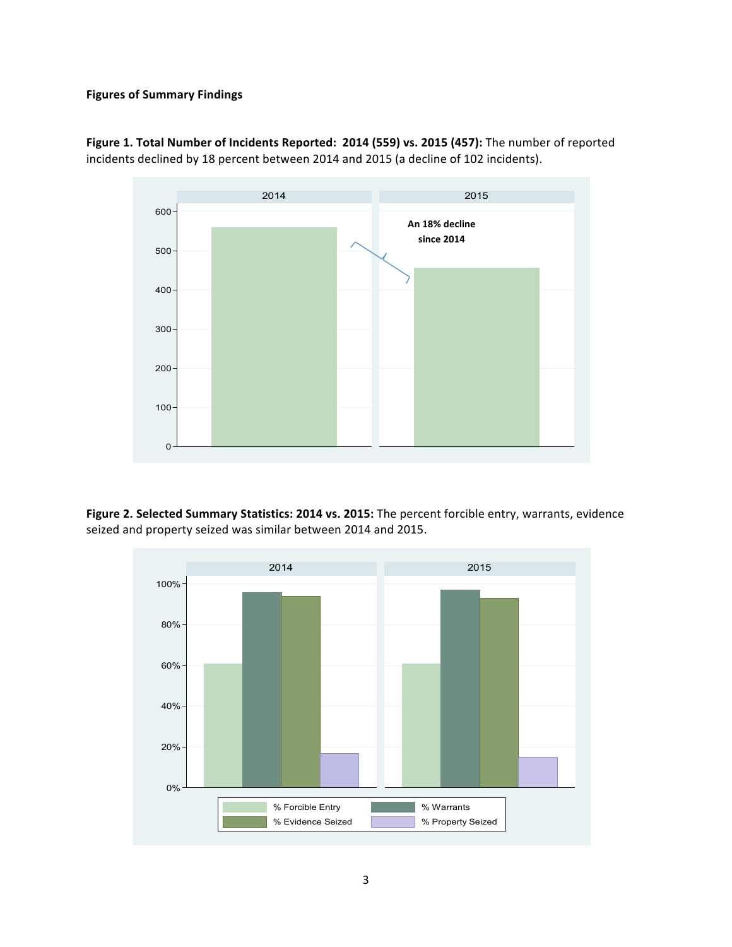#### **Figures of Summary Findings**



Figure 1. Total Number of Incidents Reported: 2014 (559) vs. 2015 (457): The number of reported incidents declined by 18 percent between 2014 and 2015 (a decline of 102 incidents).

Figure 2. Selected Summary Statistics: 2014 vs. 2015: The percent forcible entry, warrants, evidence seized and property seized was similar between 2014 and 2015.

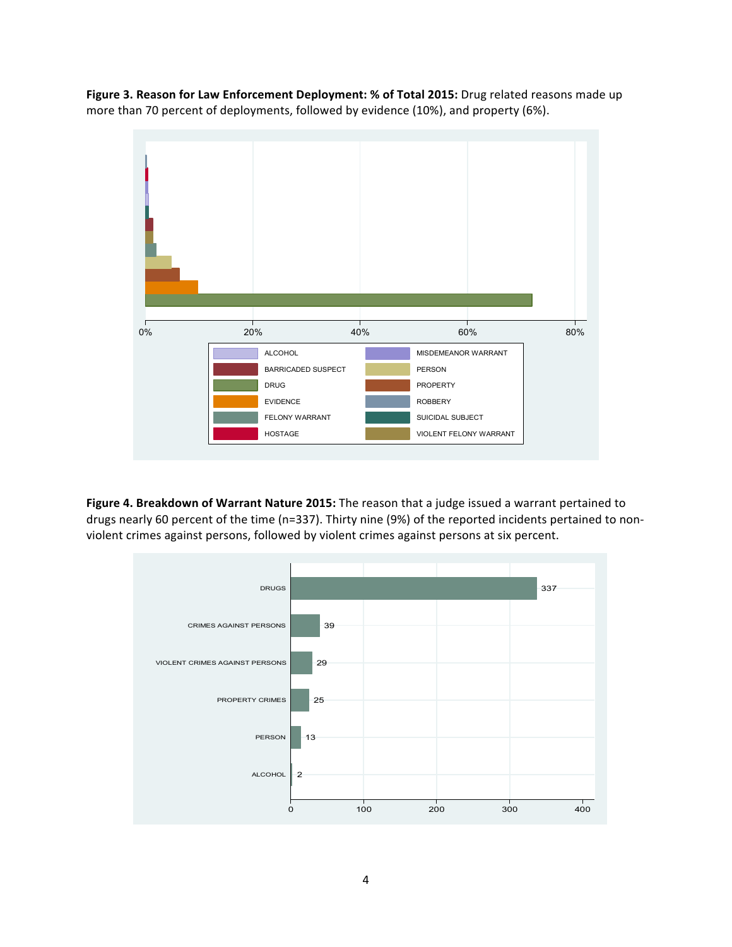Figure 3. Reason for Law Enforcement Deployment: % of Total 2015: Drug related reasons made up more than 70 percent of deployments, followed by evidence (10%), and property (6%).



**Figure 4. Breakdown of Warrant Nature 2015:** The reason that a judge issued a warrant pertained to drugs nearly 60 percent of the time (n=337). Thirty nine (9%) of the reported incidents pertained to nonviolent crimes against persons, followed by violent crimes against persons at six percent.

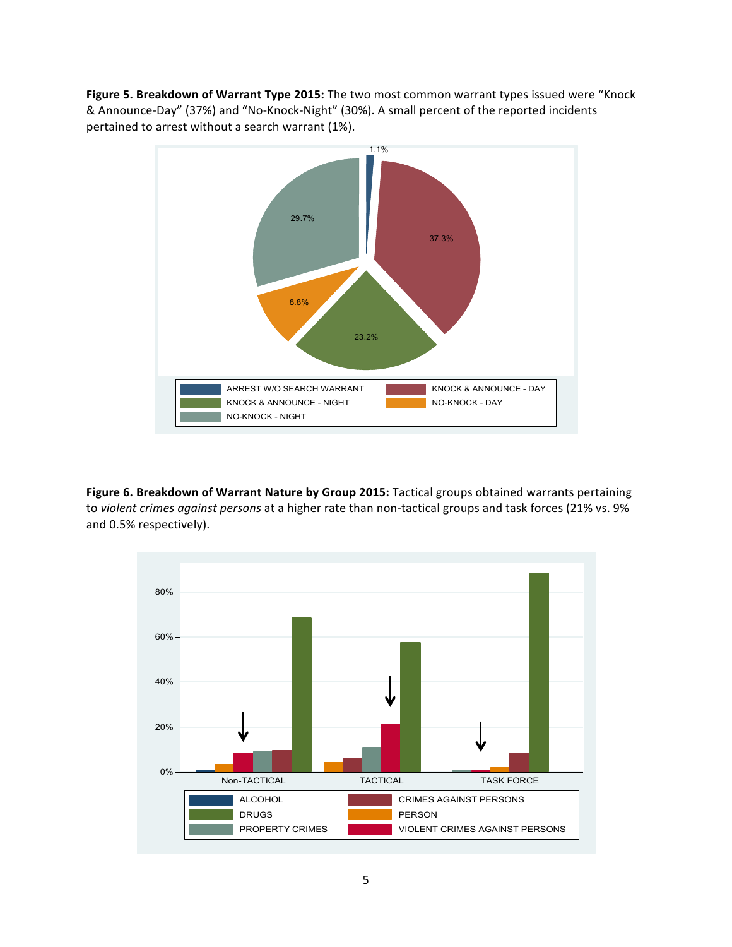**Figure 5. Breakdown of Warrant Type 2015:** The two most common warrant types issued were "Knock & Announce-Day" (37%) and "No-Knock-Night" (30%). A small percent of the reported incidents pertained to arrest without a search warrant (1%).



Figure 6. Breakdown of Warrant Nature by Group 2015: Tactical groups obtained warrants pertaining to *violent crimes against persons* at a higher rate than non-tactical groups and task forces (21% vs. 9%) and 0.5% respectively).

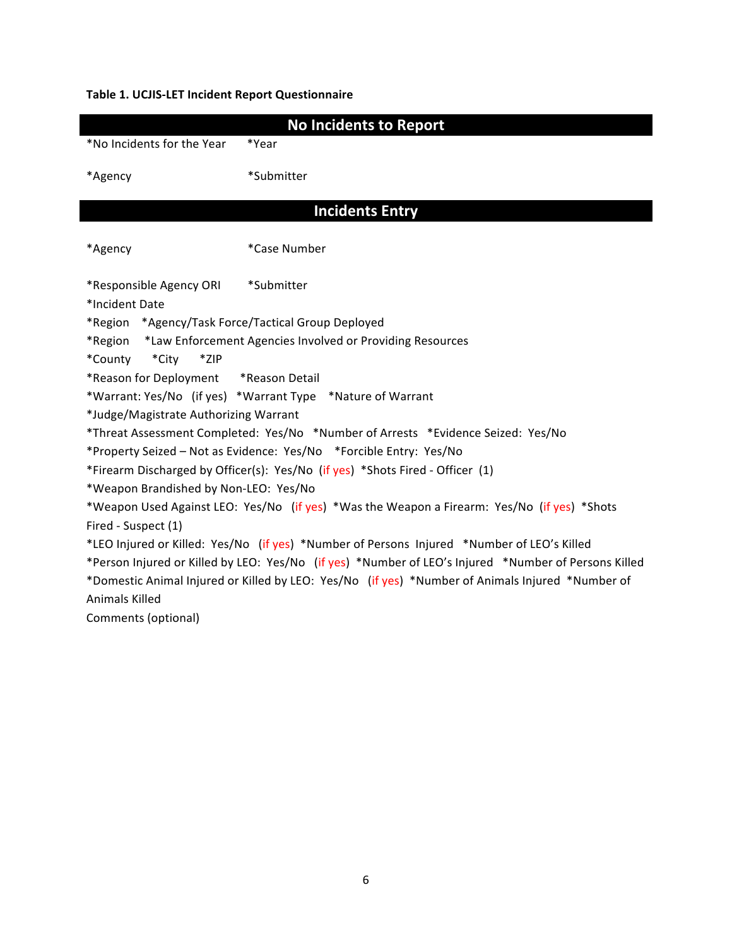### **Table 1. UCJIS-LET Incident Report Questionnaire**

|                                       | <b>No Incidents to Report</b>                                                                        |  |  |  |  |
|---------------------------------------|------------------------------------------------------------------------------------------------------|--|--|--|--|
| *No Incidents for the Year            | *Year                                                                                                |  |  |  |  |
| *Agency                               | *Submitter                                                                                           |  |  |  |  |
|                                       | <b>Incidents Entry</b>                                                                               |  |  |  |  |
| *Agency                               | *Case Number                                                                                         |  |  |  |  |
| *Responsible Agency ORI               | *Submitter                                                                                           |  |  |  |  |
| *Incident Date                        |                                                                                                      |  |  |  |  |
| *Region                               | *Agency/Task Force/Tactical Group Deployed                                                           |  |  |  |  |
| *Region                               | *Law Enforcement Agencies Involved or Providing Resources                                            |  |  |  |  |
| *County<br>*City<br>*ZIP              |                                                                                                      |  |  |  |  |
| *Reason for Deployment *Reason Detail |                                                                                                      |  |  |  |  |
|                                       | *Warrant: Yes/No (if yes) *Warrant Type *Nature of Warrant                                           |  |  |  |  |
| *Judge/Magistrate Authorizing Warrant |                                                                                                      |  |  |  |  |
|                                       | *Threat Assessment Completed: Yes/No *Number of Arrests *Evidence Seized: Yes/No                     |  |  |  |  |
|                                       | *Property Seized - Not as Evidence: Yes/No *Forcible Entry: Yes/No                                   |  |  |  |  |
|                                       | *Firearm Discharged by Officer(s): Yes/No (if yes) *Shots Fired - Officer (1)                        |  |  |  |  |
| *Weapon Brandished by Non-LEO: Yes/No |                                                                                                      |  |  |  |  |
|                                       | *Weapon Used Against LEO: Yes/No (if yes) *Was the Weapon a Firearm: Yes/No (if yes) *Shots          |  |  |  |  |
| Fired - Suspect (1)                   |                                                                                                      |  |  |  |  |
|                                       | *LEO Injured or Killed: Yes/No (if yes) *Number of Persons Injured *Number of LEO's Killed           |  |  |  |  |
|                                       | *Person Injured or Killed by LEO: Yes/No (if yes) *Number of LEO's Injured *Number of Persons Killed |  |  |  |  |
|                                       | *Domestic Animal Injured or Killed by LEO: Yes/No (if yes) *Number of Animals Injured *Number of     |  |  |  |  |
| <b>Animals Killed</b>                 |                                                                                                      |  |  |  |  |
| Comments (optional)                   |                                                                                                      |  |  |  |  |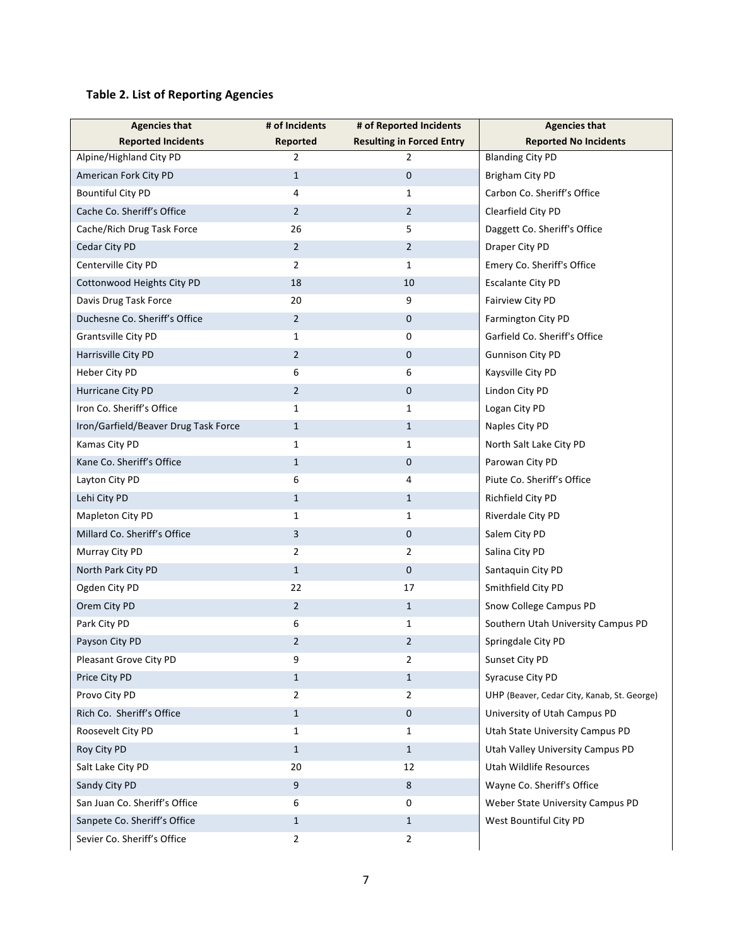# **Table 2. List of Reporting Agencies**

| <b>Agencies that</b>                 | # of Incidents | # of Reported Incidents          | <b>Agencies that</b>                        |
|--------------------------------------|----------------|----------------------------------|---------------------------------------------|
| <b>Reported Incidents</b>            | Reported       | <b>Resulting in Forced Entry</b> | <b>Reported No Incidents</b>                |
| Alpine/Highland City PD              | 2              | 2                                | <b>Blanding City PD</b>                     |
| American Fork City PD                | $\mathbf{1}$   | $\mathbf{0}$                     | Brigham City PD                             |
| <b>Bountiful City PD</b>             | 4              | $\mathbf{1}$                     | Carbon Co. Sheriff's Office                 |
| Cache Co. Sheriff's Office           | 2              | $\overline{2}$                   | Clearfield City PD                          |
| Cache/Rich Drug Task Force           | 26             | 5                                | Daggett Co. Sheriff's Office                |
| Cedar City PD                        | 2              | $\overline{2}$                   | Draper City PD                              |
| Centerville City PD                  | 2              | $\mathbf{1}$                     | Emery Co. Sheriff's Office                  |
| Cottonwood Heights City PD           | 18             | 10                               | <b>Escalante City PD</b>                    |
| Davis Drug Task Force                | 20             | 9                                | Fairview City PD                            |
| Duchesne Co. Sheriff's Office        | 2              | 0                                | Farmington City PD                          |
| <b>Grantsville City PD</b>           | $\mathbf{1}$   | 0                                | Garfield Co. Sheriff's Office               |
| Harrisville City PD                  | 2              | 0                                | <b>Gunnison City PD</b>                     |
| Heber City PD                        | 6              | 6                                | Kaysville City PD                           |
| Hurricane City PD                    | 2              | 0                                | Lindon City PD                              |
| Iron Co. Sheriff's Office            | 1              | $\mathbf{1}$                     | Logan City PD                               |
| Iron/Garfield/Beaver Drug Task Force | $\mathbf{1}$   | $\mathbf{1}$                     | Naples City PD                              |
| Kamas City PD                        | 1              | $\mathbf{1}$                     | North Salt Lake City PD                     |
| Kane Co. Sheriff's Office            | $\mathbf{1}$   | 0                                | Parowan City PD                             |
| Layton City PD                       | 6              | 4                                | Piute Co. Sheriff's Office                  |
| Lehi City PD                         | $\mathbf{1}$   | $\mathbf{1}$                     | Richfield City PD                           |
| Mapleton City PD                     | 1              | $\mathbf{1}$                     | Riverdale City PD                           |
| Millard Co. Sheriff's Office         | 3              | 0                                | Salem City PD                               |
| Murray City PD                       | 2              | $\overline{2}$                   | Salina City PD                              |
| North Park City PD                   | $\mathbf{1}$   | 0                                | Santaquin City PD                           |
| Ogden City PD                        | 22             | 17                               | Smithfield City PD                          |
| Orem City PD                         | 2              | $\mathbf{1}$                     | Snow College Campus PD                      |
| Park City PD                         | 6              | $\mathbf{1}$                     | Southern Utah University Campus PD          |
| Payson City PD                       | 2              | $\overline{2}$                   | Springdale City PD                          |
| Pleasant Grove City PD               | 9              | $\overline{2}$                   | Sunset City PD                              |
| Price City PD                        | $\mathbf{1}$   | $\mathbf{1}$                     | Syracuse City PD                            |
| Provo City PD                        | $\overline{2}$ | $\overline{2}$                   | UHP (Beaver, Cedar City, Kanab, St. George) |
| Rich Co. Sheriff's Office            | $\mathbf{1}$   | 0                                | University of Utah Campus PD                |
| Roosevelt City PD                    | $\mathbf{1}$   | $\mathbf{1}$                     | Utah State University Campus PD             |
| Roy City PD                          | $\mathbf{1}$   | $\mathbf{1}$                     | Utah Valley University Campus PD            |
| Salt Lake City PD                    | 20             | 12                               | Utah Wildlife Resources                     |
| Sandy City PD                        | 9              | 8                                | Wayne Co. Sheriff's Office                  |
| San Juan Co. Sheriff's Office        | 6              | $\mathbf 0$                      | Weber State University Campus PD            |
| Sanpete Co. Sheriff's Office         | $\mathbf{1}$   | $\mathbf{1}$                     | West Bountiful City PD                      |
| Sevier Co. Sheriff's Office          | $\overline{2}$ | $\overline{2}$                   |                                             |
|                                      |                |                                  |                                             |